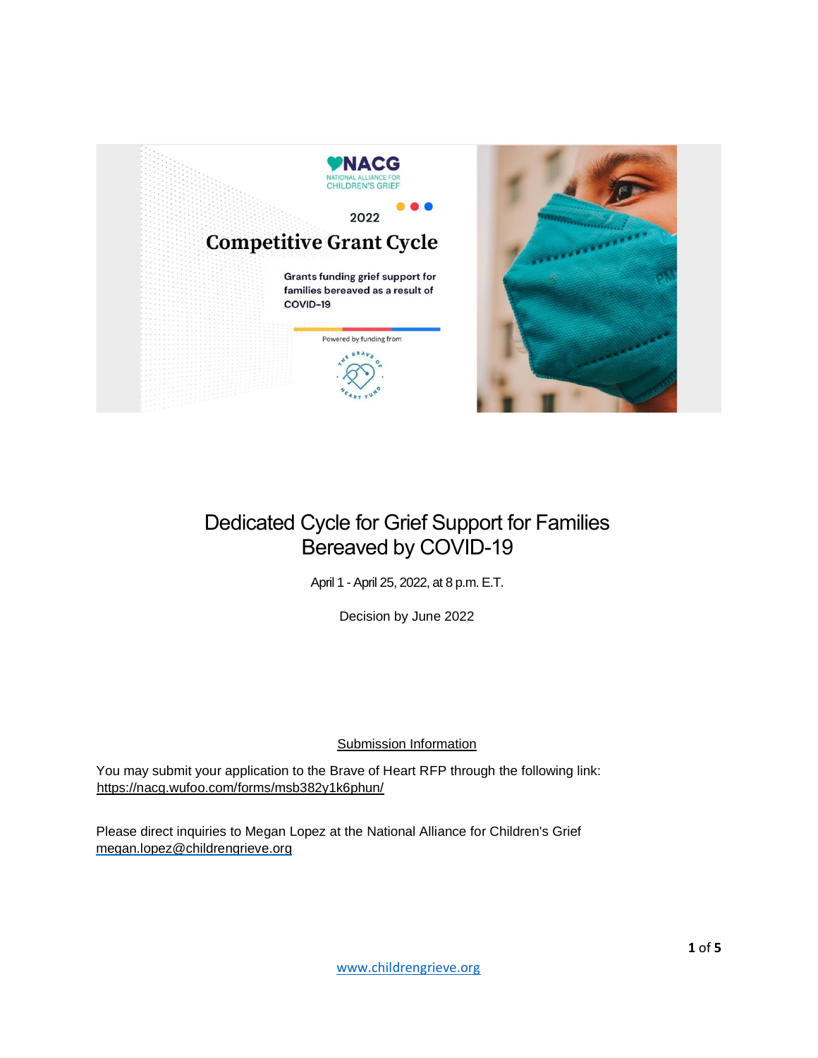

# Dedicated Cycle for Grief Support for Families Bereaved by COVID-19

April 1 - April 25, 2022, at 8 p.m. E.T.

Decision by June 2022

## Submission Information

You may submit your application to the Brave of Heart RFP through the following link: <https://nacg.wufoo.com/forms/msb382y1k6phun/>

Please direct inquiries to Megan Lopez at the National Alliance for Children's Grief megan.lopez@childrengrieve.org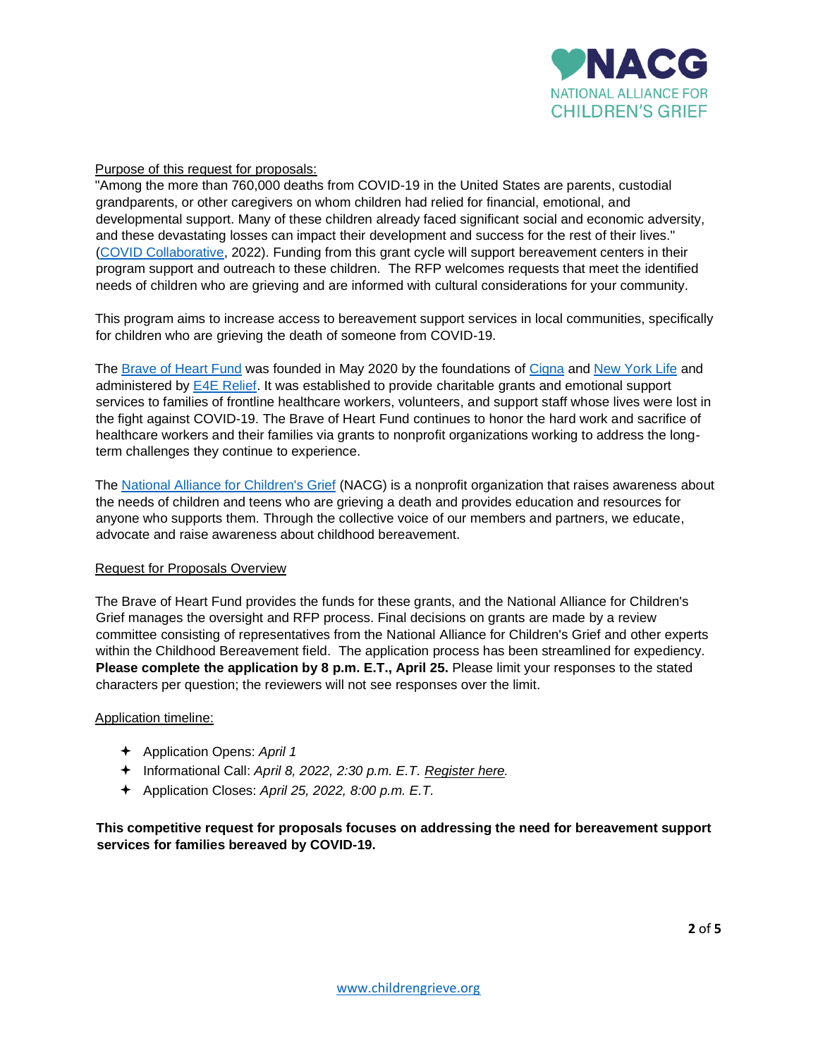

## Purpose of this request for proposals:

"Among the more than 760,000 deaths from COVID-19 in the United States are parents, custodial grandparents, or other caregivers on whom children had relied for financial, emotional, and developmental support. Many of these children already faced significant social and economic adversity, and these devastating losses can impact their development and success for the rest of their lives." [\(COVID Collaborative,](https://www.covidcollaborative.us/initiatives/hidden-pain#the-report) 2022). Funding from this grant cycle will support bereavement centers in their program support and outreach to these children. The RFP welcomes requests that meet the identified needs of children who are grieving and are informed with cultural considerations for your community.

This program aims to increase access to bereavement support services in local communities, specifically for children who are grieving the death of someone from COVID-19.

The [Brave of Heart Fund](https://www.braveofheartfund.com/) was founded in May 2020 by the foundations of [Cigna](https://www.cigna.com/about-us/corporate-responsibility/cigna-foundation) and [New York Life](https://www.newyorklife.com/foundation) and administered by [E4E Relief.](https://employeerelieffund.org/) It was established to provide charitable grants and emotional support services to families of frontline healthcare workers, volunteers, and support staff whose lives were lost in the fight against COVID-19. The Brave of Heart Fund continues to honor the hard work and sacrifice of healthcare workers and their families via grants to nonprofit organizations working to address the longterm challenges they continue to experience.

The [National Alliance for Children's](https://childrengrieve.org/) Grief (NACG) is a nonprofit organization that raises awareness about the needs of children and teens who are grieving a death and provides education and resources for anyone who supports them. Through the collective voice of our members and partners, we educate, advocate and raise awareness about childhood bereavement.

#### Request for Proposals Overview

The Brave of Heart Fund provides the funds for these grants, and the National Alliance for Children's Grief manages the oversight and RFP process. Final decisions on grants are made by a review committee consisting of representatives from the National Alliance for Children's Grief and other experts within the Childhood Bereavement field. The application process has been streamlined for expediency. **Please complete the application by 8 p.m. E.T., April 25.** Please limit your responses to the stated characters per question; the reviewers will not see responses over the limit.

#### Application timeline:

- Application Opens: *April 1*
- Informational Call: *April 8, 2022, 2:30 p.m. E.T. [Register here.](https://us02web.zoom.us/webinar/register/WN_LCpH_z4DSVubH8jburdFGQ)*
- Application Closes: *April 25, 2022, 8:00 p.m. E.T.*

**This competitive request for proposals focuses on addressing the need for bereavement support services for families bereaved by COVID-19.**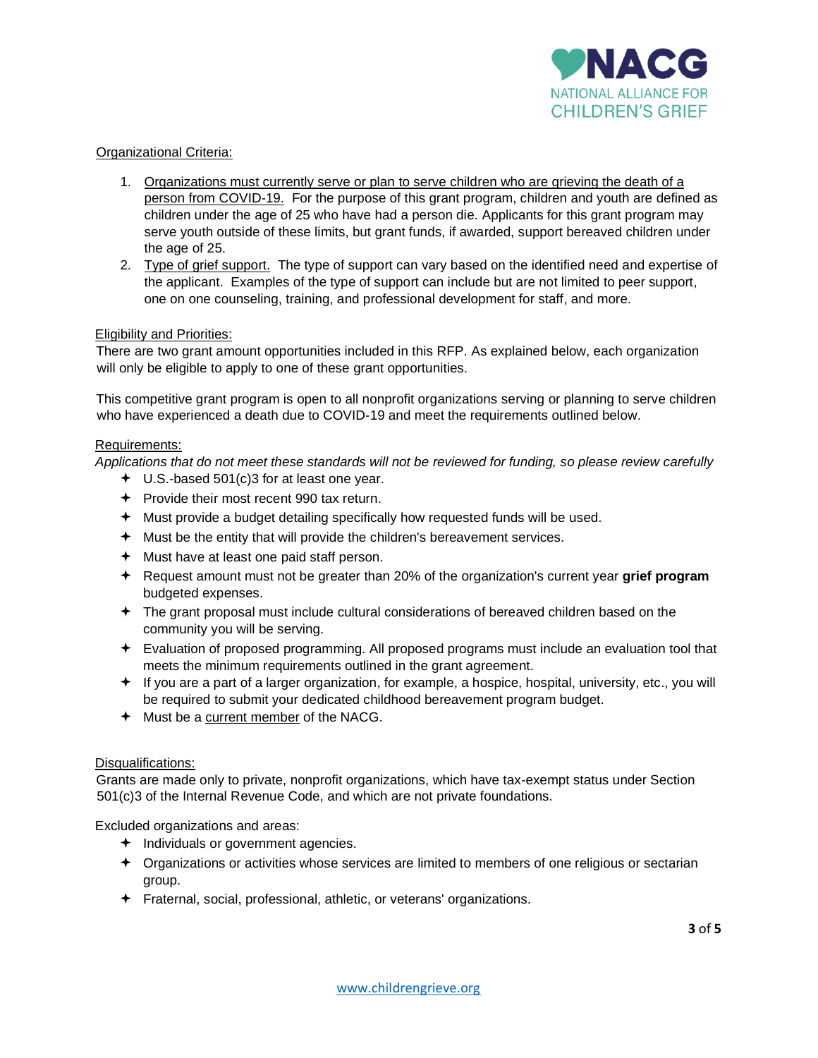

## Organizational Criteria:

- 1. Organizations must currently serve or plan to serve children who are grieving the death of a person from COVID-19. For the purpose of this grant program, children and youth are defined as children under the age of 25 who have had a person die. Applicants for this grant program may serve youth outside of these limits, but grant funds, if awarded, support bereaved children under the age of 25.
- 2. Type of grief support. The type of support can vary based on the identified need and expertise of the applicant. Examples of the type of support can include but are not limited to peer support, one on one counseling, training, and professional development for staff, and more.

## Eligibility and Priorities:

There are two grant amount opportunities included in this RFP. As explained below, each organization will only be eligible to apply to one of these grant opportunities.

This competitive grant program is open to all nonprofit organizations serving or planning to serve children who have experienced a death due to COVID-19 and meet the requirements outlined below.

## Requirements:

*Applications that do not meet these standards will not be reviewed for funding, so please review carefully*

- U.S.-based 501(c)3 for at least one year.
- $\div$  Provide their most recent 990 tax return.
- Must provide a budget detailing specifically how requested funds will be used.
- $+$  Must be the entity that will provide the children's bereavement services.
- $\div$  Must have at least one paid staff person.
- Request amount must not be greater than 20% of the organization's current year **grief program** budgeted expenses.
- The grant proposal must include cultural considerations of bereaved children based on the community you will be serving.
- Evaluation of proposed programming. All proposed programs must include an evaluation tool that meets the minimum requirements outlined in the grant agreement.
- $\div$  If you are a part of a larger organization, for example, a hospice, hospital, university, etc., you will be required to submit your dedicated childhood bereavement program budget.
- Must be a current member of the NACG.

#### Disqualifications:

Grants are made only to private, nonprofit organizations, which have tax-exempt status under Section 501(c)3 of the Internal Revenue Code, and which are not private foundations.

Excluded organizations and areas:

- $\triangleleft$  Individuals or government agencies.
- Organizations or activities whose services are limited to members of one religious or sectarian group.
- Fraternal, social, professional, athletic, or veterans' organizations.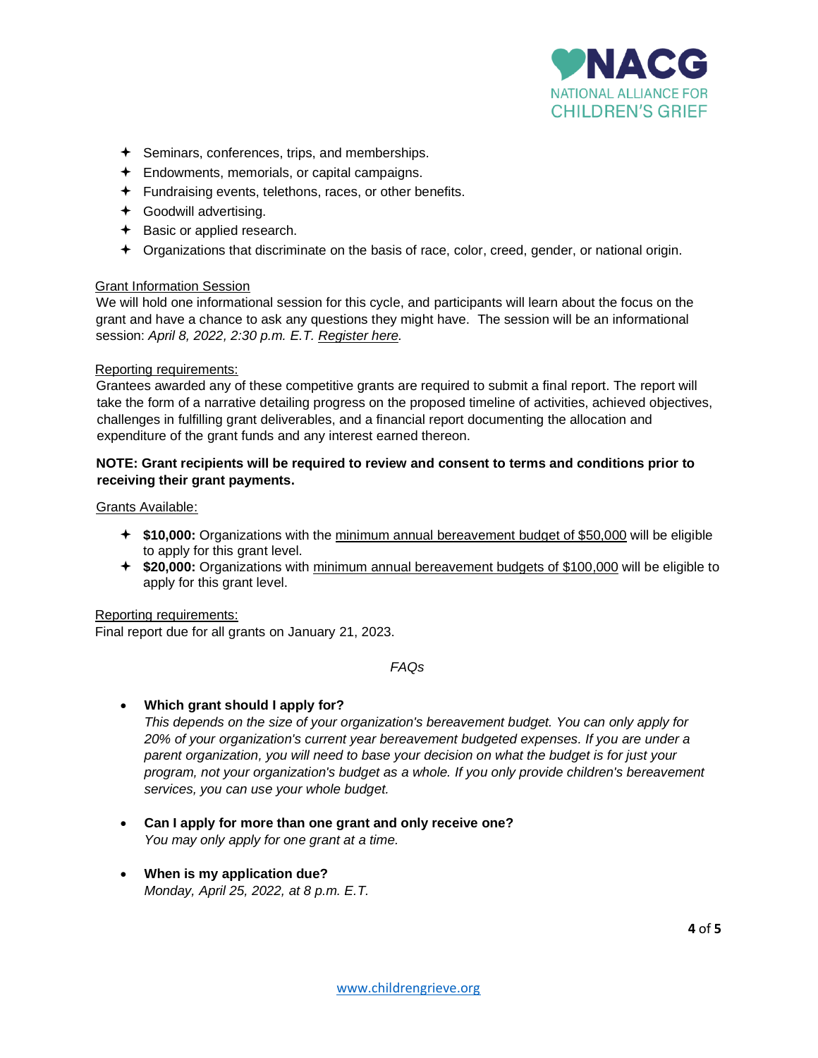

- $\div$  Seminars, conferences, trips, and memberships.
- $\div$  Endowments, memorials, or capital campaigns.
- $\div$  Fundraising events, telethons, races, or other benefits.
- Goodwill advertising.
- $\div$  Basic or applied research.
- Organizations that discriminate on the basis of race, color, creed, gender, or national origin.

## Grant Information Session

We will hold one informational session for this cycle, and participants will learn about the focus on the grant and have a chance to ask any questions they might have. The session will be an informational session: *April 8, 2022, 2:30 p.m. E.T. [Register here.](https://us02web.zoom.us/webinar/register/WN_LCpH_z4DSVubH8jburdFGQ)*

## Reporting requirements:

Grantees awarded any of these competitive grants are required to submit a final report. The report will take the form of a narrative detailing progress on the proposed timeline of activities, achieved objectives, challenges in fulfilling grant deliverables, and a financial report documenting the allocation and expenditure of the grant funds and any interest earned thereon.

## **NOTE: Grant recipients will be required to review and consent to terms and conditions prior to receiving their grant payments.**

#### Grants Available:

- **\$10,000:** Organizations with the minimum annual bereavement budget of \$50,000 will be eligible to apply for this grant level.
- **\$20,000:** Organizations with minimum annual bereavement budgets of \$100,000 will be eligible to apply for this grant level.

#### Reporting requirements:

Final report due for all grants on January 21, 2023.

#### *FAQs*

## • **Which grant should I apply for?**

*This depends on the size of your organization's bereavement budget. You can only apply for 20% of your organization's current year bereavement budgeted expenses. If you are under a parent organization, you will need to base your decision on what the budget is for just your program, not your organization's budget as a whole. If you only provide children's bereavement services, you can use your whole budget.*

- **Can I apply for more than one grant and only receive one?**  *You may only apply for one grant at a time.*
- **When is my application due?**  *Monday, April 25, 2022, at 8 p.m. E.T.*